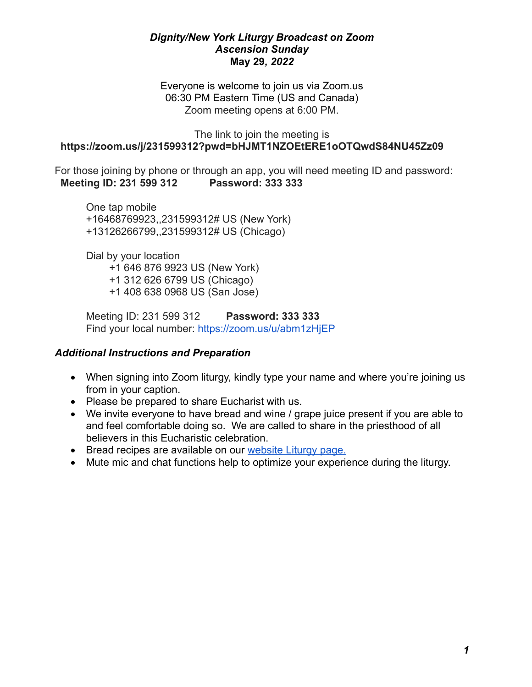## *Dignity/New York Liturgy Broadcast on Zoom Ascension Sunday* **May 29***, 2022*

Everyone is welcome to join us via Zoom.us 06:30 PM Eastern Time (US and Canada) Zoom meeting opens at 6:00 PM.

#### The link to join the meeting is  **<https://zoom.us/j/231599312?pwd=bHJMT1NZOEtERE1oOTQwdS84NU45Zz09>**

For those joining by phone or through an app, you will need meeting ID and password:  **Meeting ID: 231 599 312 Password: 333 333**

One tap mobile +16468769923,,231599312# US (New York) +13126266799,,231599312# US (Chicago)

Dial by your location +1 646 876 9923 US (New York) +1 312 626 6799 US (Chicago) +1 408 638 0968 US (San Jose)

Meeting ID: 231 599 312 **Password: 333 333** Find your local number: <https://zoom.us/u/abm1zHjEP>

# *Additional Instructions and Preparation*

- When signing into Zoom liturgy, kindly type your name and where you're joining us from in your caption.
- Please be prepared to share Eucharist with us.
- We invite everyone to have bread and wine / grape juice present if you are able to and feel comfortable doing so. We are called to share in the priesthood of all believers in this Eucharistic celebration.
- Bread recipes are available on our [website Liturgy page.](http://www.dignityny.org/content/liturgy-0)
- Mute mic and chat functions help to optimize your experience during the liturgy.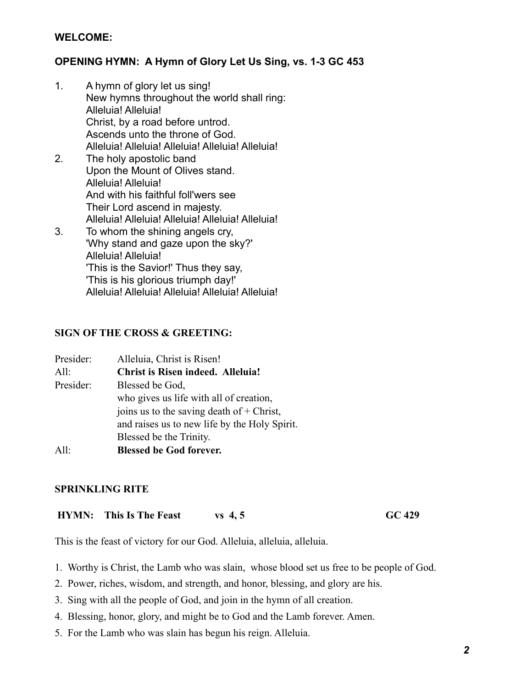# **WELCOME:**

# **OPENING HYMN: A Hymn of Glory Let Us Sing, vs. 1-3 GC 453**

- 1. A hymn of glory let us sing! New hymns throughout the world shall ring: Alleluia! Alleluia! Christ, by a road before untrod. Ascends unto the throne of God. Alleluia! Alleluia! Alleluia! Alleluia! Alleluia!
- 2. The holy apostolic band Upon the Mount of Olives stand. Alleluia! Alleluia! And with his faithful foll'wers see Their Lord ascend in majesty. Alleluia! Alleluia! Alleluia! Alleluia! Alleluia! 3. To whom the shining angels cry, 'Why stand and gaze upon the sky?' Alleluia! Alleluia!
	- 'This is the Savior!' Thus they say, 'This is his glorious triumph day!' Alleluia! Alleluia! Alleluia! Alleluia! Alleluia!

#### **SIGN OF THE CROSS & GREETING:**

| Presider: | Alleluia, Christ is Risen!                    |
|-----------|-----------------------------------------------|
| All:      | <b>Christ is Risen indeed. Alleluia!</b>      |
| Presider: | Blessed be God,                               |
|           | who gives us life with all of creation,       |
|           | joins us to the saving death of $+$ Christ,   |
|           | and raises us to new life by the Holy Spirit. |
|           | Blessed be the Trinity.                       |
| All:      | <b>Blessed be God forever.</b>                |

## **SPRINKLING RITE**

 **HYMN:** This Is The Feast vs 4, 5 GC 429

This is the feast of victory for our God. Alleluia, alleluia, alleluia.

- 1. Worthy is Christ, the Lamb who was slain, whose blood set us free to be people of God.
- 2. Power, riches, wisdom, and strength, and honor, blessing, and glory are his.
- 3. Sing with all the people of God, and join in the hymn of all creation.
- 4. Blessing, honor, glory, and might be to God and the Lamb forever. Amen.
- 5. For the Lamb who was slain has begun his reign. Alleluia.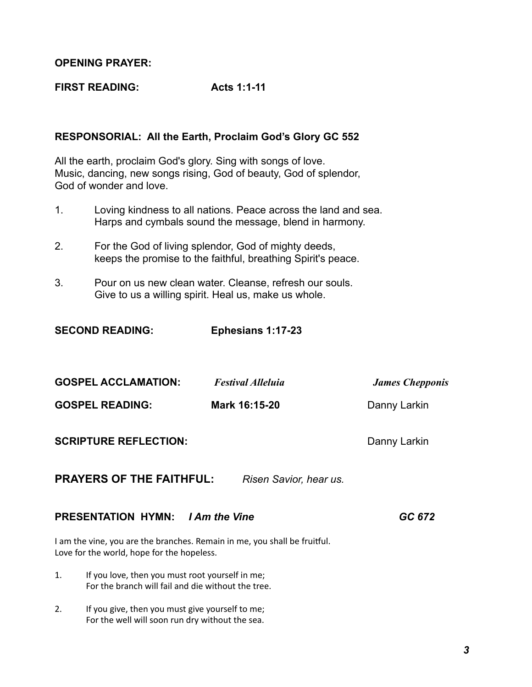## **OPENING PRAYER:**

**FIRST READING: Acts 1:1-11** 

# **RESPONSORIAL: All the Earth, Proclaim God's Glory GC 552**

All the earth, proclaim God's glory. Sing with songs of love. Music, dancing, new songs rising, God of beauty, God of splendor, God of wonder and love.

- 1. Loving kindness to all nations. Peace across the land and sea. Harps and cymbals sound the message, blend in harmony.
- 2. For the God of living splendor, God of mighty deeds, keeps the promise to the faithful, breathing Spirit's peace.
- 3. Pour on us new clean water. Cleanse, refresh our souls. Give to us a willing spirit. Heal us, make us whole.

**SECOND READING: Ephesians 1:17-23** 

| JLVVIIV IILAVIIIV.                                                                                                      | L                                         |                                        |
|-------------------------------------------------------------------------------------------------------------------------|-------------------------------------------|----------------------------------------|
| <b>GOSPEL ACCLAMATION:</b><br><b>GOSPEL READING:</b>                                                                    | <b>Festival Alleluia</b><br>Mark 16:15-20 | <b>James Chepponis</b><br>Danny Larkin |
| <b>SCRIPTURE REFLECTION:</b>                                                                                            |                                           | Danny Larkin                           |
| <b>PRAYERS OF THE FAITHFUL:</b>                                                                                         | Risen Savior, hear us.                    |                                        |
| <b>PRESENTATION HYMN:</b> <i>I Am the Vine</i>                                                                          |                                           | GC 672                                 |
| I am the vine, you are the branches. Remain in me, you shall be fruitful.<br>Love for the world, hope for the hopeless. |                                           |                                        |
| If you love, then you must root yourself in me;<br>1.<br>For the branch will fail and die without the tree.             |                                           |                                        |

2. If you give, then you must give yourself to me; For the well will soon run dry without the sea.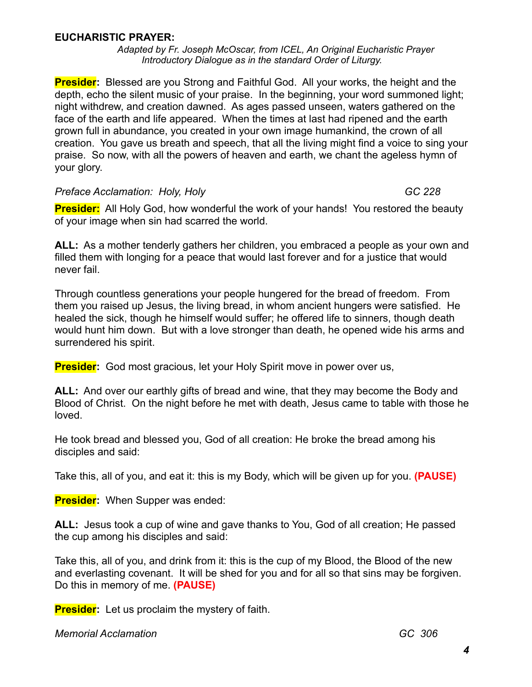# **EUCHARISTIC PRAYER:**

*Adapted by Fr. Joseph McOscar, from ICEL, An Original Eucharistic Prayer Introductory Dialogue as in the standard Order of Liturgy.*

**Presider:** Blessed are you Strong and Faithful God. All your works, the height and the depth, echo the silent music of your praise. In the beginning, your word summoned light; night withdrew, and creation dawned. As ages passed unseen, waters gathered on the face of the earth and life appeared. When the times at last had ripened and the earth grown full in abundance, you created in your own image humankind, the crown of all creation. You gave us breath and speech, that all the living might find a voice to sing your praise. So now, with all the powers of heaven and earth, we chant the ageless hymn of your glory.

## Preface Acclamation: Holy, Holy GC 228

**Presider:** All Holy God, how wonderful the work of your hands! You restored the beauty of your image when sin had scarred the world.

**ALL:** As a mother tenderly gathers her children, you embraced a people as your own and filled them with longing for a peace that would last forever and for a justice that would never fail.

Through countless generations your people hungered for the bread of freedom. From them you raised up Jesus, the living bread, in whom ancient hungers were satisfied. He healed the sick, though he himself would suffer; he offered life to sinners, though death would hunt him down. But with a love stronger than death, he opened wide his arms and surrendered his spirit.

**Presider:** God most gracious, let your Holy Spirit move in power over us,

**ALL:** And over our earthly gifts of bread and wine, that they may become the Body and Blood of Christ. On the night before he met with death, Jesus came to table with those he loved.

He took bread and blessed you, God of all creation: He broke the bread among his disciples and said:

Take this, all of you, and eat it: this is my Body, which will be given up for you. **(PAUSE)**

**Presider:** When Supper was ended:

**ALL:** Jesus took a cup of wine and gave thanks to You, God of all creation; He passed the cup among his disciples and said:

Take this, all of you, and drink from it: this is the cup of my Blood, the Blood of the new and everlasting covenant. It will be shed for you and for all so that sins may be forgiven. Do this in memory of me. **(PAUSE)**

**Presider:** Let us proclaim the mystery of faith.

*Memorial Acclamation GC 306*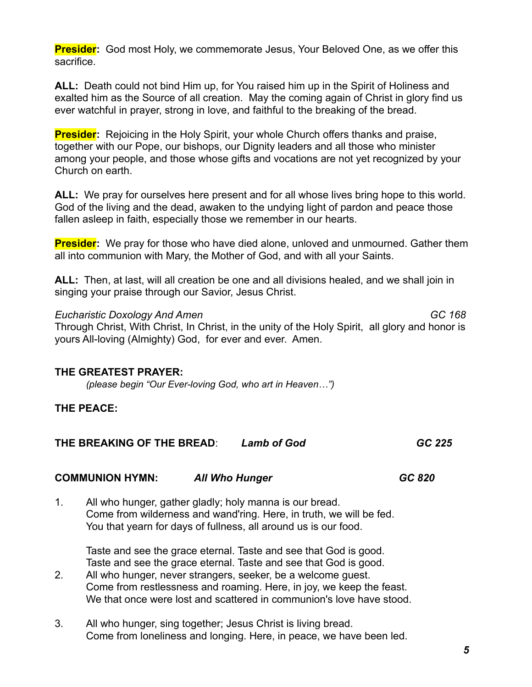**Presider:** God most Holy, we commemorate Jesus, Your Beloved One, as we offer this sacrifice.

**ALL:** Death could not bind Him up, for You raised him up in the Spirit of Holiness and exalted him as the Source of all creation. May the coming again of Christ in glory find us ever watchful in prayer, strong in love, and faithful to the breaking of the bread.

**Presider:** Rejoicing in the Holy Spirit, your whole Church offers thanks and praise, together with our Pope, our bishops, our Dignity leaders and all those who minister among your people, and those whose gifts and vocations are not yet recognized by your Church on earth.

**ALL:** We pray for ourselves here present and for all whose lives bring hope to this world. God of the living and the dead, awaken to the undying light of pardon and peace those fallen asleep in faith, especially those we remember in our hearts.

**Presider:** We pray for those who have died alone, unloved and unmourned. Gather them all into communion with Mary, the Mother of God, and with all your Saints.

**ALL:** Then, at last, will all creation be one and all divisions healed, and we shall join in singing your praise through our Savior, Jesus Christ.

*Eucharistic Doxology And Amen GC 168* Through Christ, With Christ, In Christ, in the unity of the Holy Spirit, all glory and honor is yours All-loving (Almighty) God, for ever and ever. Amen.

# **THE GREATEST PRAYER:**

*(please begin "Our Ever-loving God, who art in Heaven…")*

# **THE PEACE:**

| THE BREAKING OF THE BREAD:<br><b>Lamb of God</b> | GC 225 |
|--------------------------------------------------|--------|
|--------------------------------------------------|--------|

# **COMMUNION HYMN:** *All Who Hunger GC 820*

1. All who hunger, gather gladly; holy manna is our bread. Come from wilderness and wand'ring. Here, in truth, we will be fed. You that yearn for days of fullness, all around us is our food.

Taste and see the grace eternal. Taste and see that God is good. Taste and see the grace eternal. Taste and see that God is good.

- 2. All who hunger, never strangers, seeker, be a welcome guest. Come from restlessness and roaming. Here, in joy, we keep the feast. We that once were lost and scattered in communion's love have stood.
- 3. All who hunger, sing together; Jesus Christ is living bread. Come from loneliness and longing. Here, in peace, we have been led.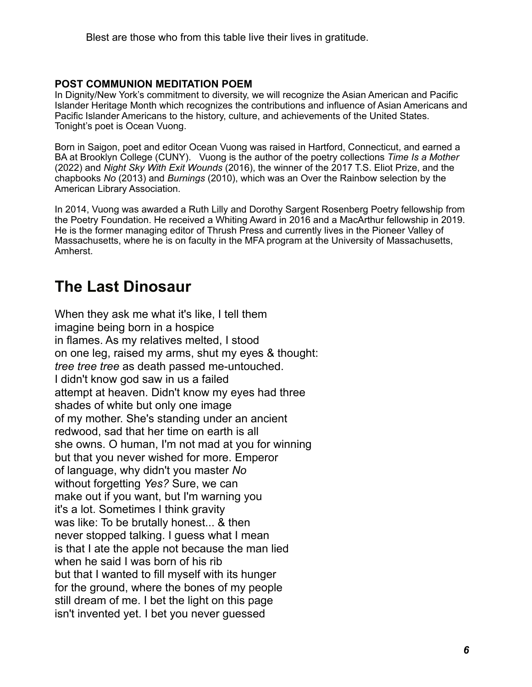Blest are those who from this table live their lives in gratitude.

## **POST COMMUNION MEDITATION POEM**

In Dignity/New York's commitment to diversity, we will recognize the Asian American and Pacific Islander Heritage Month which recognizes the contributions and influence of Asian Americans and Pacific Islander Americans to the history, culture, and achievements of the United States. Tonight's poet is Ocean Vuong.

Born in Saigon, poet and editor Ocean Vuong was raised in Hartford, Connecticut, and earned a BA at Brooklyn College (CUNY). Vuong is the author of the poetry collections *Time Is a Mother*  (2022) and *Night Sky With Exit Wounds* (2016), the winner of the 2017 T.S. Eliot Prize, and the chapbooks *No* (2013) and *Burnings* (2010), which was an Over the Rainbow selection by the American Library Association.

In 2014, Vuong was awarded a Ruth Lilly and Dorothy Sargent Rosenberg Poetry fellowship from the Poetry Foundation. He received a Whiting Award in 2016 and a MacArthur fellowship in 2019. He is the former managing editor of Thrush Press and currently lives in the Pioneer Valley of Massachusetts, where he is on faculty in the MFA program at the University of Massachusetts, Amherst.

# **The Last Dinosaur**

When they ask me what it's like, I tell them imagine being born in a hospice in flames. As my relatives melted, I stood on one leg, raised my arms, shut my eyes & thought: *tree tree tree* as death passed me-untouched. I didn't know god saw in us a failed attempt at heaven. Didn't know my eyes had three shades of white but only one image of my mother. She's standing under an ancient redwood, sad that her time on earth is all she owns. O human, I'm not mad at you for winning but that you never wished for more. Emperor of language, why didn't you master *No*  without forgetting *Yes?* Sure, we can make out if you want, but I'm warning you it's a lot. Sometimes I think gravity was like: To be brutally honest... & then never stopped talking. I guess what I mean is that I ate the apple not because the man lied when he said I was born of his rib but that I wanted to fill myself with its hunger for the ground, where the bones of my people still dream of me. I bet the light on this page isn't invented yet. I bet you never guessed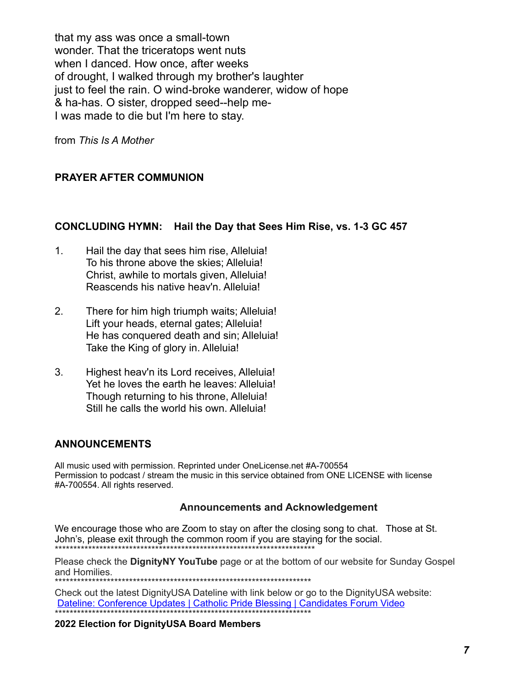that my ass was once a small-town wonder. That the triceratops went nuts when I danced. How once, after weeks of drought, I walked through my brother's laughter just to feel the rain. O wind-broke wanderer, widow of hope & ha-has. O sister, dropped seed--help me-I was made to die but I'm here to stay.

from *This Is A Mother*

# **PRAYER AFTER COMMUNION**

#### **CONCLUDING HYMN: Hail the Day that Sees Him Rise, vs. 1-3 GC 457**

- 1. Hail the day that sees him rise, Alleluia! To his throne above the skies; Alleluia! Christ, awhile to mortals given, Alleluia! Reascends his native heav'n. Alleluia!
- 2. There for him high triumph waits; Alleluia! Lift your heads, eternal gates; Alleluia! He has conquered death and sin; Alleluia! Take the King of glory in. Alleluia!
- 3. Highest heav'n its Lord receives, Alleluia! Yet he loves the earth he leaves: Alleluia! Though returning to his throne, Alleluia! Still he calls the world his own. Alleluia!

## **ANNOUNCEMENTS**

All music used with permission. Reprinted under OneLicense.net #A-700554 Permission to podcast / stream the music in this service obtained from ONE LICENSE with license #A-700554. All rights reserved.

#### **Announcements and Acknowledgement**

We encourage those who are Zoom to stay on after the closing song to chat. Those at St. John's, please exit through the common room if you are staying for the social. \*\*\*\*\*\*\*\*\*\*\*\*\*\*\*\*\*\*\*\*\*\*\*\*\*\*\*\*\*\*\*\*\*\*\*\*\*\*\*\*\*\*\*\*\*\*\*\*\*\*\*\*\*\*\*\*\*\*\*\*\*\*\*\*\*\*\*\*\*\*

Please check the **DignityNY YouTube** page or at the bottom of our website for Sunday Gospel and Homilies.

\*\*\*\*\*\*\*\*\*\*\*\*\*\*\*\*\*\*\*\*\*\*\*\*\*\*

Check out the latest DignityUSA Dateline with link below or go to the DignityUSA website: [Dateline: Conference Updates | Catholic Pride Blessing | Candidates Forum Video](https://www.dignityusa.org/civicrm/mailing/view?id=2374&reset=1) \*\*\*\*\*\*\*\*\*\*\*\*\*\*\*\*\*\*\*\*\*\*\*\*\*\*\*\*\*\*\*\*\*\*\*\*\*\*\*\*\*\*\*\*\*\*\*\*\*\*\*\*\*\*\*\*\*\*\*\*\*\*\*\*\*\*\*\*\*

**2022 Election for DignityUSA Board Members**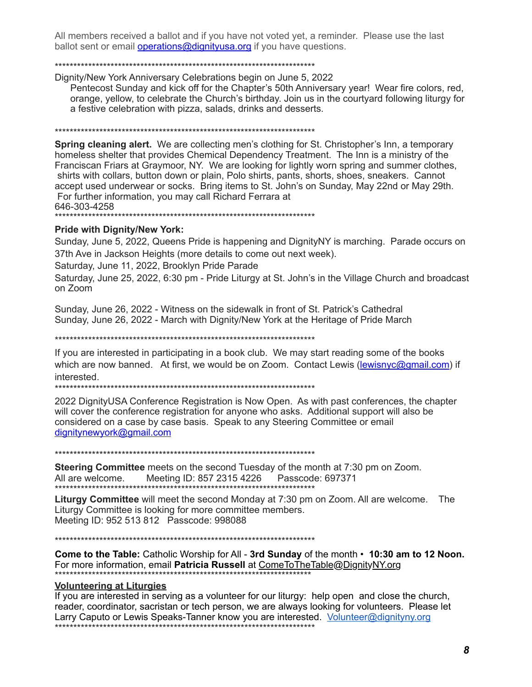All members received a ballot and if you have not voted yet, a reminder. Please use the last ballot sent or email **operations@dignityusa.org** if you have questions.

#### \*\*\*\*\*\*\*\*\*\*\*\*\*\*\*\*\*\*\*\*\*\*\*\*\*\*\*\*\*\*\*\*\*\*\*\*\*\*\*\*\*\*\*\*\*\*\*\*\*\*\*\*\*\*\*\*\*\*\*\*\*\*\*\*\*\*\*\*\*\*

Dignity/New York Anniversary Celebrations begin on June 5, 2022

Pentecost Sunday and kick off for the Chapter's 50th Anniversary year! Wear fire colors, red, orange, yellow, to celebrate the Church's birthday. Join us in the courtyard following liturgy for a festive celebration with pizza, salads, drinks and desserts.

\*\*\*\*\*\*\*\*\*\*\*\*\*\*\*\*\*\*\*\*\*\*\*\*\*\*\*\*\*\*\*\*\*\*\*\*\*\*\*\*\*\*\*\*\*\*\*\*\*\*\*\*\*\*\*\*\*\*\*\*\*\*\*\*\*\*\*\*\*\*

**Spring cleaning alert.** We are collecting men's clothing for St. Christopher's Inn, a temporary homeless shelter that provides Chemical Dependency Treatment. The Inn is a ministry of the Franciscan Friars at Graymoor, NY. We are looking for lightly worn spring and summer clothes, shirts with collars, button down or plain, Polo shirts, pants, shorts, shoes, sneakers. Cannot accept used underwear or socks. Bring items to St. John's on Sunday, May 22nd or May 29th. For further information, you may call Richard Ferrara at 646-303-4258

\*\*\*\*\*\*\*\*\*\*\*\*\*\*\*\*\*\*\*\*\*\*\*\*\*\*\*\*\*\*\*\*\*\*\*\*\*\*\*\*\*\*\*\*\*\*\*\*\*\*\*\*\*\*\*\*\*\*\*\*\*\*\*\*\*\*\*\*\*\*

#### **Pride with Dignity/New York:**

Sunday, June 5, 2022, Queens Pride is happening and DignityNY is marching. Parade occurs on 37th Ave in Jackson Heights (more details to come out next week).

Saturday, June 11, 2022, Brooklyn Pride Parade

Saturday, June 25, 2022, 6:30 pm - Pride Liturgy at St. John's in the Village Church and broadcast on Zoom

Sunday, June 26, 2022 - Witness on the sidewalk in front of St. Patrick's Cathedral Sunday, June 26, 2022 - March with Dignity/New York at the Heritage of Pride March

\*\*\*\*\*\*\*\*\*\*\*\*\*\*\*\*\*\*\*\*\*\*\*\*\*\*\*\*\*\*\*\*\*\*\*\*\*\*\*\*\*\*\*\*\*\*\*\*\*\*\*\*\*\*\*\*\*\*\*\*\*\*\*\*\*\*\*\*\*\*

If you are interested in participating in a book club. We may start reading some of the books which are now banned. At first, we would be on Zoom. Contact Lewis ([lewisnyc@gmail.com](mailto:lewisnyc@gmail.com)) if interested.

\*\*\*\*\*\*\*\*\*\*\*\*\*\*\*\*\*\*\*\*\*\*\*\*\*\*\*\*\*\*\*\*\*\*\*\*\*\*\*\*\*\*\*\*\*\*\*\*\*\*\*\*\*\*\*\*\*\*\*\*\*\*\*\*\*\*\*\*\*\*

2022 DignityUSA Conference Registration is Now Open. As with past conferences, the chapter will cover the conference registration for anyone who asks. Additional support will also be considered on a case by case basis. Speak to any Steering Committee or email [dignitynewyork@gmail.com](mailto:dignitynewyork@gmail.com)

\*\*\*\*\*\*\*\*\*\*\*\*\*\*\*\*\*\*\*\*\*\*\*\*\*\*\*\*\*\*\*\*\*\*\*\*\*\*\*\*\*\*\*\*\*\*\*\*\*\*\*\*\*\*\*\*\*\*\*\*\*\*\*\*\*\*\*\*\*\*

**Steering Committee** meets on the second Tuesday of the month at 7:30 pm on Zoom. All are welcome. Meeting ID: 857 2315 4226 Passcode: 697371 \*\*\*\*\*\*\*\*\*\*\*\*\*\*\*\*\*\*\*\*\*\*\*\*\*\*\*\*\*\*\*\*\*\*\*\*\*\*\*\*\*\*\*\*\*\*\*\*\*\*\*\*\*\*\*\*\*\*\*\*\*\*\*\*\*\*\*\*\*\*

**Liturgy Committee** will meet the second Monday at 7:30 pm on Zoom. All are welcome. The Liturgy Committee is looking for more committee members. Meeting ID: 952 513 812 Passcode: 998088

\*\*\*\*\*\*\*\*\*\*\*\*\*\*\*\*\*\*\*\*\*\*\*\*\*\*\*\*\*\*\*\*\*\*\*\*\*\*\*\*\*\*\*\*\*\*\*\*\*\*\*\*\*\*\*\*\*\*\*\*\*\*\*\*\*\*\*\*\*\*

**Come to the Table:** Catholic Worship for All - **3rd Sunday** of the month • **10:30 am to 12 Noon.**  For more information, email **Patricia Russell** at ComeToTheTable@DignityNY.org \*\*\*\*\*\*\*\*\*\*\*\*\*\*\*\*\*\*\*\*\*\*\*\*\*\*\*\*\*\*\*\*\*\*\*\*\*\*\*\*\*\*\*\*\*\*\*\*\*\*\*\*\*\*\*\*\*\*\*\*\*\*\*\*\*\*\*\*\*

#### **Volunteering at Liturgies**

If you are interested in serving as a volunteer for our liturgy: help open and close the church, reader, coordinator, sacristan or tech person, we are always looking for volunteers. Please let Larry Caputo or Lewis Speaks-Tanner know you are interested. Volunteer@dignityny.org \*\*\*\*\*\*\*\*\*\*\*\*\*\*\*\*\*\*\*\*\*\*\*\*\*\*\*\*\*\*\*\*\*\*\*\*\*\*\*\*\*\*\*\*\*\*\*\*\*\*\*\*\*\*\*\*\*\*\*\*\*\*\*\*\*\*\*\*\*\*